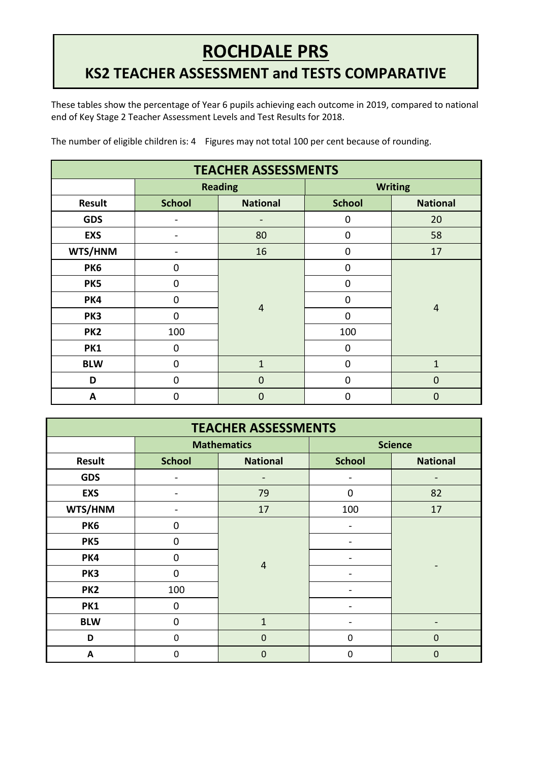## **ROCHDALE PRS**

## **KS2 TEACHER ASSESSMENT and TESTS COMPARATIVE**

These tables show the percentage of Year 6 pupils achieving each outcome in 2019, compared to national end of Key Stage 2 Teacher Assessment Levels and Test Results for 2018. **REPORT**

| <b>TEACHER ASSESSMENTS</b> |               |                   |                |                 |  |  |  |
|----------------------------|---------------|-------------------|----------------|-----------------|--|--|--|
|                            |               | <b>Reading</b>    | <b>Writing</b> |                 |  |  |  |
| Result                     | <b>School</b> | <b>National</b>   | <b>School</b>  | <b>National</b> |  |  |  |
| <b>GDS</b>                 |               |                   | 0              | 20              |  |  |  |
| <b>EXS</b>                 |               | 80                | $\mathbf 0$    | 58              |  |  |  |
| WTS/HNM                    |               | 16                | 0              | 17              |  |  |  |
| PK6                        | 0             |                   | $\mathbf 0$    | $\overline{4}$  |  |  |  |
| PK5                        | 0             | $\overline{4}$    | 0              |                 |  |  |  |
| PK4                        | $\Omega$      |                   | $\overline{0}$ |                 |  |  |  |
| PK3                        | $\Omega$      |                   | 0              |                 |  |  |  |
| PK <sub>2</sub>            | 100           |                   | 100            |                 |  |  |  |
| PK1                        | 0             |                   | $\mathbf 0$    |                 |  |  |  |
| <b>BLW</b>                 | 0             | $\mathbf{1}$<br>0 |                | $\mathbf{1}$    |  |  |  |
| D                          | $\mathbf 0$   | $\mathbf 0$       | $\mathbf 0$    | $\mathbf 0$     |  |  |  |
| A                          | $\Omega$      | $\overline{0}$    | 0              | $\Omega$        |  |  |  |

The number of eligible children is: 4 Figures may not total 100 per cent because of rounding.

| <b>TEACHER ASSESSMENTS</b> |               |                                  |                |                 |  |  |  |
|----------------------------|---------------|----------------------------------|----------------|-----------------|--|--|--|
|                            |               | <b>Mathematics</b>               | <b>Science</b> |                 |  |  |  |
| <b>Result</b>              | <b>School</b> | <b>School</b><br><b>National</b> |                | <b>National</b> |  |  |  |
| <b>GDS</b>                 |               |                                  |                |                 |  |  |  |
| <b>EXS</b>                 | ۰             | 79                               | $\mathbf 0$    | 82              |  |  |  |
| WTS/HNM                    |               | 17                               | 100            | 17              |  |  |  |
| PK6                        | $\mathbf 0$   |                                  |                |                 |  |  |  |
| PK5                        | $\Omega$      |                                  |                |                 |  |  |  |
| PK4                        | $\mathbf 0$   | $\overline{4}$                   |                |                 |  |  |  |
| PK3                        | $\Omega$      |                                  |                |                 |  |  |  |
| PK <sub>2</sub>            | 100           |                                  |                |                 |  |  |  |
| PK1                        | 0             |                                  |                |                 |  |  |  |
| <b>BLW</b>                 | $\mathbf 0$   | $\mathbf{1}$                     |                | $\qquad \qquad$ |  |  |  |
| D                          | $\mathbf 0$   | $\mathbf 0$                      | 0              | $\mathbf 0$     |  |  |  |
| A                          | $\Omega$      | $\Omega$                         | 0              | $\Omega$        |  |  |  |